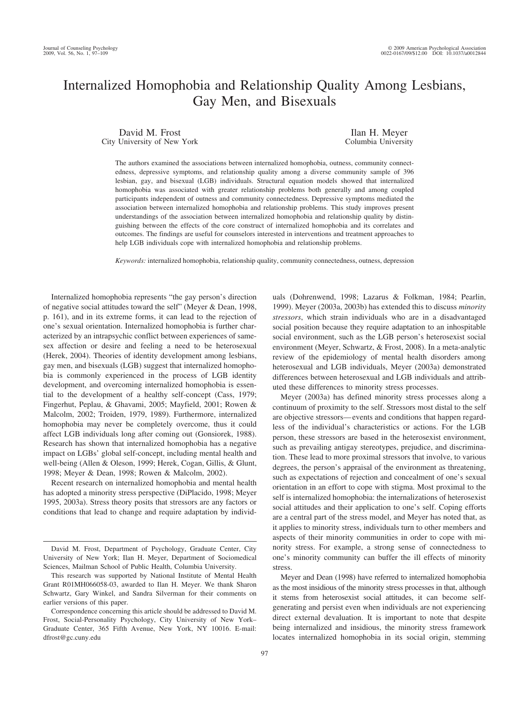# Internalized Homophobia and Relationship Quality Among Lesbians, Gay Men, and Bisexuals

David M. Frost City University of New York

Ilan H. Meyer Columbia University

The authors examined the associations between internalized homophobia, outness, community connectedness, depressive symptoms, and relationship quality among a diverse community sample of 396 lesbian, gay, and bisexual (LGB) individuals. Structural equation models showed that internalized homophobia was associated with greater relationship problems both generally and among coupled participants independent of outness and community connectedness. Depressive symptoms mediated the association between internalized homophobia and relationship problems. This study improves present understandings of the association between internalized homophobia and relationship quality by distinguishing between the effects of the core construct of internalized homophobia and its correlates and outcomes. The findings are useful for counselors interested in interventions and treatment approaches to help LGB individuals cope with internalized homophobia and relationship problems.

*Keywords:* internalized homophobia, relationship quality, community connectedness, outness, depression

Internalized homophobia represents "the gay person's direction of negative social attitudes toward the self" (Meyer & Dean, 1998, p. 161), and in its extreme forms, it can lead to the rejection of one's sexual orientation. Internalized homophobia is further characterized by an intrapsychic conflict between experiences of samesex affection or desire and feeling a need to be heterosexual (Herek, 2004). Theories of identity development among lesbians, gay men, and bisexuals (LGB) suggest that internalized homophobia is commonly experienced in the process of LGB identity development, and overcoming internalized homophobia is essential to the development of a healthy self-concept (Cass, 1979; Fingerhut, Peplau, & Ghavami, 2005; Mayfield, 2001; Rowen & Malcolm, 2002; Troiden, 1979, 1989). Furthermore, internalized homophobia may never be completely overcome, thus it could affect LGB individuals long after coming out (Gonsiorek, 1988). Research has shown that internalized homophobia has a negative impact on LGBs' global self-concept, including mental health and well-being (Allen & Oleson, 1999; Herek, Cogan, Gillis, & Glunt, 1998; Meyer & Dean, 1998; Rowen & Malcolm, 2002).

Recent research on internalized homophobia and mental health has adopted a minority stress perspective (DiPlacido, 1998; Meyer 1995, 2003a). Stress theory posits that stressors are any factors or conditions that lead to change and require adaptation by individuals (Dohrenwend, 1998; Lazarus & Folkman, 1984; Pearlin, 1999). Meyer (2003a, 2003b) has extended this to discuss *minority stressors*, which strain individuals who are in a disadvantaged social position because they require adaptation to an inhospitable social environment, such as the LGB person's heterosexist social environment (Meyer, Schwartz, & Frost, 2008). In a meta-analytic review of the epidemiology of mental health disorders among heterosexual and LGB individuals, Meyer (2003a) demonstrated differences between heterosexual and LGB individuals and attributed these differences to minority stress processes.

Meyer (2003a) has defined minority stress processes along a continuum of proximity to the self. Stressors most distal to the self are objective stressors— events and conditions that happen regardless of the individual's characteristics or actions. For the LGB person, these stressors are based in the heterosexist environment, such as prevailing antigay stereotypes, prejudice, and discrimination. These lead to more proximal stressors that involve, to various degrees, the person's appraisal of the environment as threatening, such as expectations of rejection and concealment of one's sexual orientation in an effort to cope with stigma. Most proximal to the self is internalized homophobia: the internalizations of heterosexist social attitudes and their application to one's self. Coping efforts are a central part of the stress model, and Meyer has noted that, as it applies to minority stress, individuals turn to other members and aspects of their minority communities in order to cope with minority stress. For example, a strong sense of connectedness to one's minority community can buffer the ill effects of minority stress.

Meyer and Dean (1998) have referred to internalized homophobia as the most insidious of the minority stress processes in that, although it stems from heterosexist social attitudes, it can become selfgenerating and persist even when individuals are not experiencing direct external devaluation. It is important to note that despite being internalized and insidious, the minority stress framework locates internalized homophobia in its social origin, stemming

David M. Frost, Department of Psychology, Graduate Center, City University of New York; Ilan H. Meyer, Department of Sociomedical Sciences, Mailman School of Public Health, Columbia University.

This research was supported by National Institute of Mental Health Grant R01MH066058-03, awarded to Ilan H. Meyer. We thank Sharon Schwartz, Gary Winkel, and Sandra Silverman for their comments on earlier versions of this paper.

Correspondence concerning this article should be addressed to David M. Frost, Social-Personality Psychology, City University of New York– Graduate Center, 365 Fifth Avenue, New York, NY 10016. E-mail: dfrost@gc.cuny.edu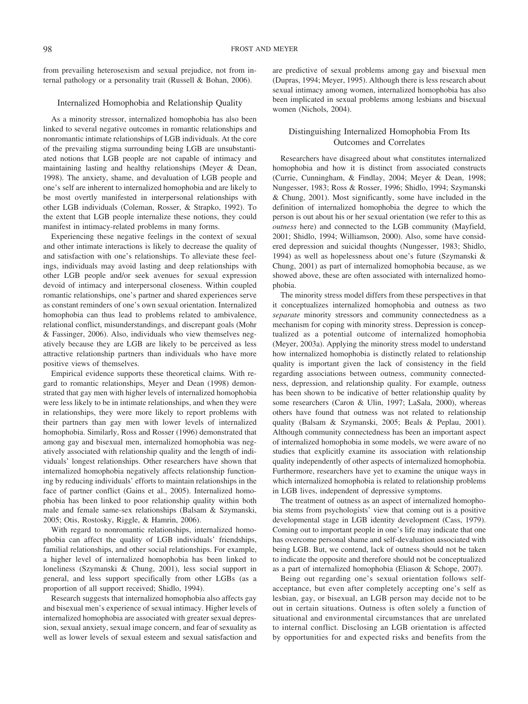from prevailing heterosexism and sexual prejudice, not from internal pathology or a personality trait (Russell & Bohan, 2006).

#### Internalized Homophobia and Relationship Quality

As a minority stressor, internalized homophobia has also been linked to several negative outcomes in romantic relationships and nonromantic intimate relationships of LGB individuals. At the core of the prevailing stigma surrounding being LGB are unsubstantiated notions that LGB people are not capable of intimacy and maintaining lasting and healthy relationships (Meyer & Dean, 1998). The anxiety, shame, and devaluation of LGB people and one's self are inherent to internalized homophobia and are likely to be most overtly manifested in interpersonal relationships with other LGB individuals (Coleman, Rosser, & Strapko, 1992). To the extent that LGB people internalize these notions, they could manifest in intimacy-related problems in many forms.

Experiencing these negative feelings in the context of sexual and other intimate interactions is likely to decrease the quality of and satisfaction with one's relationships. To alleviate these feelings, individuals may avoid lasting and deep relationships with other LGB people and/or seek avenues for sexual expression devoid of intimacy and interpersonal closeness. Within coupled romantic relationships, one's partner and shared experiences serve as constant reminders of one's own sexual orientation. Internalized homophobia can thus lead to problems related to ambivalence, relational conflict, misunderstandings, and discrepant goals (Mohr & Fassinger, 2006). Also, individuals who view themselves negatively because they are LGB are likely to be perceived as less attractive relationship partners than individuals who have more positive views of themselves.

Empirical evidence supports these theoretical claims. With regard to romantic relationships, Meyer and Dean (1998) demonstrated that gay men with higher levels of internalized homophobia were less likely to be in intimate relationships, and when they were in relationships, they were more likely to report problems with their partners than gay men with lower levels of internalized homophobia. Similarly, Ross and Rosser (1996) demonstrated that among gay and bisexual men, internalized homophobia was negatively associated with relationship quality and the length of individuals' longest relationships. Other researchers have shown that internalized homophobia negatively affects relationship functioning by reducing individuals' efforts to maintain relationships in the face of partner conflict (Gains et al., 2005). Internalized homophobia has been linked to poor relationship quality within both male and female same-sex relationships (Balsam & Szymanski, 2005; Otis, Rostosky, Riggle, & Hamrin, 2006).

With regard to nonromantic relationships, internalized homophobia can affect the quality of LGB individuals' friendships, familial relationships, and other social relationships. For example, a higher level of internalized homophobia has been linked to loneliness (Szymanski & Chung, 2001), less social support in general, and less support specifically from other LGBs (as a proportion of all support received; Shidlo, 1994).

Research suggests that internalized homophobia also affects gay and bisexual men's experience of sexual intimacy. Higher levels of internalized homophobia are associated with greater sexual depression, sexual anxiety, sexual image concern, and fear of sexuality as well as lower levels of sexual esteem and sexual satisfaction and are predictive of sexual problems among gay and bisexual men (Dupras, 1994; Meyer, 1995). Although there is less research about sexual intimacy among women, internalized homophobia has also been implicated in sexual problems among lesbians and bisexual women (Nichols, 2004).

# Distinguishing Internalized Homophobia From Its Outcomes and Correlates

Researchers have disagreed about what constitutes internalized homophobia and how it is distinct from associated constructs (Currie, Cunningham, & Findlay, 2004; Meyer & Dean, 1998; Nungesser, 1983; Ross & Rosser, 1996; Shidlo, 1994; Szymanski & Chung, 2001). Most significantly, some have included in the definition of internalized homophobia the degree to which the person is out about his or her sexual orientation (we refer to this as *outness* here) and connected to the LGB community (Mayfield, 2001; Shidlo, 1994; Williamson, 2000). Also, some have considered depression and suicidal thoughts (Nungesser, 1983; Shidlo, 1994) as well as hopelessness about one's future (Szymanski & Chung, 2001) as part of internalized homophobia because, as we showed above, these are often associated with internalized homophobia.

The minority stress model differs from these perspectives in that it conceptualizes internalized homophobia and outness as two *separate* minority stressors and community connectedness as a mechanism for coping with minority stress. Depression is conceptualized as a potential outcome of internalized homophobia (Meyer, 2003a). Applying the minority stress model to understand how internalized homophobia is distinctly related to relationship quality is important given the lack of consistency in the field regarding associations between outness, community connectedness, depression, and relationship quality. For example, outness has been shown to be indicative of better relationship quality by some researchers (Caron & Ulin, 1997; LaSala, 2000), whereas others have found that outness was not related to relationship quality (Balsam & Szymanski, 2005; Beals & Peplau, 2001). Although community connectedness has been an important aspect of internalized homophobia in some models, we were aware of no studies that explicitly examine its association with relationship quality independently of other aspects of internalized homophobia. Furthermore, researchers have yet to examine the unique ways in which internalized homophobia is related to relationship problems in LGB lives, independent of depressive symptoms.

The treatment of outness as an aspect of internalized homophobia stems from psychologists' view that coming out is a positive developmental stage in LGB identity development (Cass, 1979). Coming out to important people in one's life may indicate that one has overcome personal shame and self-devaluation associated with being LGB. But, we contend, lack of outness should not be taken to indicate the opposite and therefore should not be conceptualized as a part of internalized homophobia (Eliason & Schope, 2007).

Being out regarding one's sexual orientation follows selfacceptance, but even after completely accepting one's self as lesbian, gay, or bisexual, an LGB person may decide not to be out in certain situations. Outness is often solely a function of situational and environmental circumstances that are unrelated to internal conflict. Disclosing an LGB orientation is affected by opportunities for and expected risks and benefits from the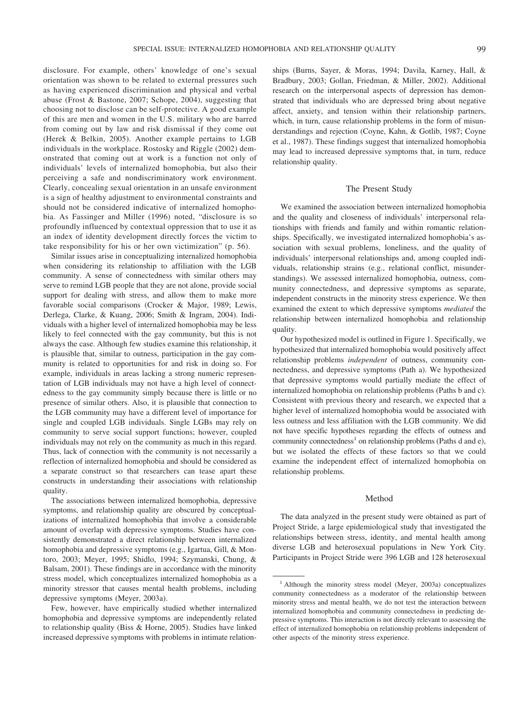disclosure. For example, others' knowledge of one's sexual orientation was shown to be related to external pressures such as having experienced discrimination and physical and verbal abuse (Frost & Bastone, 2007; Schope, 2004), suggesting that choosing not to disclose can be self-protective. A good example of this are men and women in the U.S. military who are barred from coming out by law and risk dismissal if they come out (Herek & Belkin, 2005). Another example pertains to LGB individuals in the workplace. Rostosky and Riggle (2002) demonstrated that coming out at work is a function not only of individuals' levels of internalized homophobia, but also their perceiving a safe and nondiscriminatory work environment. Clearly, concealing sexual orientation in an unsafe environment is a sign of healthy adjustment to environmental constraints and should not be considered indicative of internalized homophobia. As Fassinger and Miller (1996) noted, "disclosure is so profoundly influenced by contextual oppression that to use it as an index of identity development directly forces the victim to take responsibility for his or her own victimization" (p. 56).

Similar issues arise in conceptualizing internalized homophobia when considering its relationship to affiliation with the LGB community. A sense of connectedness with similar others may serve to remind LGB people that they are not alone, provide social support for dealing with stress, and allow them to make more favorable social comparisons (Crocker & Major, 1989; Lewis, Derlega, Clarke, & Kuang, 2006; Smith & Ingram, 2004). Individuals with a higher level of internalized homophobia may be less likely to feel connected with the gay community, but this is not always the case. Although few studies examine this relationship, it is plausible that, similar to outness, participation in the gay community is related to opportunities for and risk in doing so. For example, individuals in areas lacking a strong numeric representation of LGB individuals may not have a high level of connectedness to the gay community simply because there is little or no presence of similar others. Also, it is plausible that connection to the LGB community may have a different level of importance for single and coupled LGB individuals. Single LGBs may rely on community to serve social support functions; however, coupled individuals may not rely on the community as much in this regard. Thus, lack of connection with the community is not necessarily a reflection of internalized homophobia and should be considered as a separate construct so that researchers can tease apart these constructs in understanding their associations with relationship quality.

The associations between internalized homophobia, depressive symptoms, and relationship quality are obscured by conceptualizations of internalized homophobia that involve a considerable amount of overlap with depressive symptoms. Studies have consistently demonstrated a direct relationship between internalized homophobia and depressive symptoms (e.g., Igartua, Gill, & Montoro, 2003; Meyer, 1995; Shidlo, 1994; Szymanski, Chung, & Balsam, 2001). These findings are in accordance with the minority stress model, which conceptualizes internalized homophobia as a minority stressor that causes mental health problems, including depressive symptoms (Meyer, 2003a).

Few, however, have empirically studied whether internalized homophobia and depressive symptoms are independently related to relationship quality (Biss & Horne, 2005). Studies have linked increased depressive symptoms with problems in intimate relationships (Burns, Sayer, & Moras, 1994; Davila, Karney, Hall, & Bradbury, 2003; Gollan, Friedman, & Miller, 2002). Additional research on the interpersonal aspects of depression has demonstrated that individuals who are depressed bring about negative affect, anxiety, and tension within their relationship partners, which, in turn, cause relationship problems in the form of misunderstandings and rejection (Coyne, Kahn, & Gotlib, 1987; Coyne et al., 1987). These findings suggest that internalized homophobia may lead to increased depressive symptoms that, in turn, reduce relationship quality.

## The Present Study

We examined the association between internalized homophobia and the quality and closeness of individuals' interpersonal relationships with friends and family and within romantic relationships. Specifically, we investigated internalized homophobia's association with sexual problems, loneliness, and the quality of individuals' interpersonal relationships and, among coupled individuals, relationship strains (e.g., relational conflict, misunderstandings). We assessed internalized homophobia, outness, community connectedness, and depressive symptoms as separate, independent constructs in the minority stress experience. We then examined the extent to which depressive symptoms *mediated* the relationship between internalized homophobia and relationship quality.

Our hypothesized model is outlined in Figure 1. Specifically, we hypothesized that internalized homophobia would positively affect relationship problems *independent* of outness, community connectedness, and depressive symptoms (Path a). We hypothesized that depressive symptoms would partially mediate the effect of internalized homophobia on relationship problems (Paths b and c). Consistent with previous theory and research, we expected that a higher level of internalized homophobia would be associated with less outness and less affiliation with the LGB community. We did not have specific hypotheses regarding the effects of outness and community connectedness<sup>1</sup> on relationship problems (Paths d and e), but we isolated the effects of these factors so that we could examine the independent effect of internalized homophobia on relationship problems.

### Method

The data analyzed in the present study were obtained as part of Project Stride, a large epidemiological study that investigated the relationships between stress, identity, and mental health among diverse LGB and heterosexual populations in New York City. Participants in Project Stride were 396 LGB and 128 heterosexual

<sup>&</sup>lt;sup>1</sup> Although the minority stress model (Meyer, 2003a) conceptualizes community connectedness as a moderator of the relationship between minority stress and mental health, we do not test the interaction between internalized homophobia and community connectedness in predicting depressive symptoms. This interaction is not directly relevant to assessing the effect of internalized homophobia on relationship problems independent of other aspects of the minority stress experience.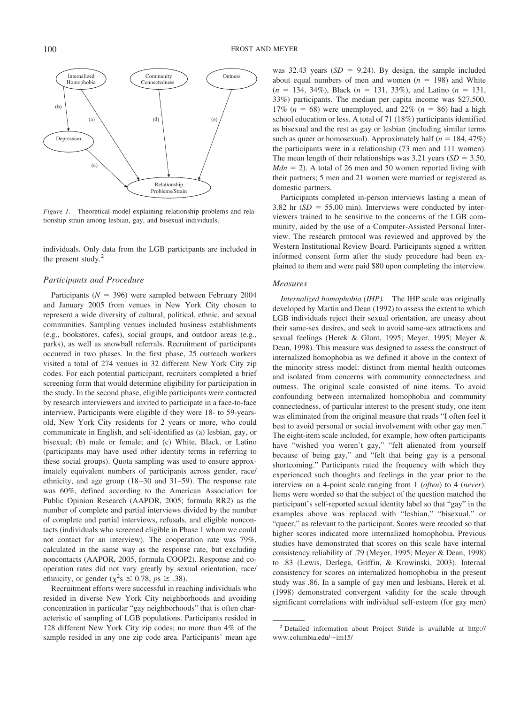

*Figure 1.* Theoretical model explaining relationship problems and relationship strain among lesbian, gay, and bisexual individuals.

individuals. Only data from the LGB participants are included in the present study.<sup>2</sup>

## *Participants and Procedure*

Participants ( $N = 396$ ) were sampled between February 2004 and January 2005 from venues in New York City chosen to represent a wide diversity of cultural, political, ethnic, and sexual communities. Sampling venues included business establishments (e.g., bookstores, cafes), social groups, and outdoor areas (e.g., parks), as well as snowball referrals. Recruitment of participants occurred in two phases. In the first phase, 25 outreach workers visited a total of 274 venues in 32 different New York City zip codes. For each potential participant, recruiters completed a brief screening form that would determine eligibility for participation in the study. In the second phase, eligible participants were contacted by research interviewers and invited to participate in a face-to-face interview. Participants were eligible if they were 18- to 59-yearsold, New York City residents for 2 years or more, who could communicate in English, and self-identified as (a) lesbian, gay, or bisexual; (b) male or female; and (c) White, Black, or Latino (participants may have used other identity terms in referring to these social groups). Quota sampling was used to ensure approximately equivalent numbers of participants across gender, race/ ethnicity, and age group (18 –30 and 31–59). The response rate was 60%, defined according to the American Association for Public Opinion Research (AAPOR, 2005; formula RR2) as the number of complete and partial interviews divided by the number of complete and partial interviews, refusals, and eligible noncontacts (individuals who screened eligible in Phase 1 whom we could not contact for an interview). The cooperation rate was 79%, calculated in the same way as the response rate, but excluding noncontacts (AAPOR, 2005, formula COOP2). Response and cooperation rates did not vary greatly by sexual orientation, race/ ethnicity, or gender ( $\chi^2$ s  $\leq$  0.78, *p*s  $\geq$  .38).

Recruitment efforts were successful in reaching individuals who resided in diverse New York City neighborhoods and avoiding concentration in particular "gay neighborhoods" that is often characteristic of sampling of LGB populations. Participants resided in 128 different New York City zip codes; no more than 4% of the sample resided in any one zip code area. Participants' mean age was 32.43 years  $(SD = 9.24)$ . By design, the sample included about equal numbers of men and women  $(n = 198)$  and White  $(n = 134, 34\%)$ , Black  $(n = 131, 33\%)$ , and Latino  $(n = 131, 33\%)$ 33%) participants. The median per capita income was \$27,500, 17%  $(n = 68)$  were unemployed, and 22%  $(n = 86)$  had a high school education or less. A total of 71 (18%) participants identified as bisexual and the rest as gay or lesbian (including similar terms such as queer or homosexual). Approximately half  $(n = 184, 47\%)$ the participants were in a relationship (73 men and 111 women). The mean length of their relationships was  $3.21$  years (*SD* =  $3.50$ ,  $Mdn = 2$ ). A total of 26 men and 50 women reported living with their partners; 5 men and 21 women were married or registered as domestic partners.

Participants completed in-person interviews lasting a mean of  $3.82$  hr  $(SD = 55.00$  min). Interviews were conducted by interviewers trained to be sensitive to the concerns of the LGB community, aided by the use of a Computer-Assisted Personal Interview. The research protocol was reviewed and approved by the Western Institutional Review Board. Participants signed a written informed consent form after the study procedure had been explained to them and were paid \$80 upon completing the interview.

#### *Measures*

*Internalized homophobia (IHP).* The IHP scale was originally developed by Martin and Dean (1992) to assess the extent to which LGB individuals reject their sexual orientation, are uneasy about their same-sex desires, and seek to avoid same-sex attractions and sexual feelings (Herek & Glunt, 1995; Meyer, 1995; Meyer & Dean, 1998). This measure was designed to assess the construct of internalized homophobia as we defined it above in the context of the minority stress model: distinct from mental health outcomes and isolated from concerns with community connectedness and outness. The original scale consisted of nine items. To avoid confounding between internalized homophobia and community connectedness, of particular interest to the present study, one item was eliminated from the original measure that reads "I often feel it best to avoid personal or social involvement with other gay men." The eight-item scale included, for example, how often participants have "wished you weren't gay," "felt alienated from yourself because of being gay," and "felt that being gay is a personal shortcoming." Participants rated the frequency with which they experienced such thoughts and feelings in the year prior to the interview on a 4-point scale ranging from 1 (*often*) to 4 (*never*). Items were worded so that the subject of the question matched the participant's self-reported sexual identity label so that "gay" in the examples above was replaced with "lesbian," "bisexual," or "queer," as relevant to the participant. Scores were recoded so that higher scores indicated more internalized homophobia. Previous studies have demonstrated that scores on this scale have internal consistency reliability of .79 (Meyer, 1995; Meyer & Dean, 1998) to .83 (Lewis, Derlega, Griffin, & Krowinski, 2003). Internal consistency for scores on internalized homophobia in the present study was .86. In a sample of gay men and lesbians, Herek et al. (1998) demonstrated convergent validity for the scale through significant correlations with individual self-esteem (for gay men)

<sup>2</sup> Detailed information about Project Stride is available at http:// www.columbia.edu/~im15/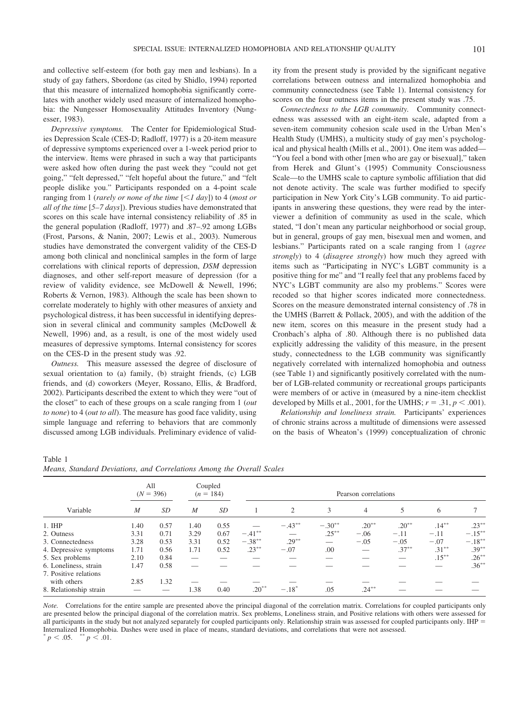and collective self-esteem (for both gay men and lesbians). In a study of gay fathers, Sbordone (as cited by Shidlo, 1994) reported that this measure of internalized homophobia significantly correlates with another widely used measure of internalized homophobia: the Nungesser Homosexuality Attitudes Inventory (Nungesser, 1983).

*Depressive symptoms.* The Center for Epidemiological Studies Depression Scale (CES-D; Radloff, 1977) is a 20-item measure of depressive symptoms experienced over a 1-week period prior to the interview. Items were phrased in such a way that participants were asked how often during the past week they "could not get going," "felt depressed," "felt hopeful about the future," and "felt people dislike you." Participants responded on a 4-point scale ranging from 1 (*rarely or none of the time* [*1 day*]) to 4 (*most or all of the time* [*5–7 days*]). Previous studies have demonstrated that scores on this scale have internal consistency reliability of .85 in the general population (Radloff, 1977) and .87–.92 among LGBs (Frost, Parsons, & Nanin, 2007; Lewis et al., 2003). Numerous studies have demonstrated the convergent validity of the CES-D among both clinical and nonclinical samples in the form of large correlations with clinical reports of depression, *DSM* depression diagnoses, and other self-report measure of depression (for a review of validity evidence, see McDowell & Newell, 1996; Roberts & Vernon, 1983). Although the scale has been shown to correlate moderately to highly with other measures of anxiety and psychological distress, it has been successful in identifying depression in several clinical and community samples (McDowell & Newell, 1996) and, as a result, is one of the most widely used measures of depressive symptoms. Internal consistency for scores on the CES-D in the present study was .92.

*Outness.* This measure assessed the degree of disclosure of sexual orientation to (a) family, (b) straight friends, (c) LGB friends, and (d) coworkers (Meyer, Rossano, Ellis, & Bradford, 2002). Participants described the extent to which they were "out of the closet" to each of these groups on a scale ranging from 1 (*out to none*) to 4 (*out to all*). The measure has good face validity, using simple language and referring to behaviors that are commonly discussed among LGB individuals. Preliminary evidence of validity from the present study is provided by the significant negative correlations between outness and internalized homophobia and community connectedness (see Table 1). Internal consistency for scores on the four outness items in the present study was .75.

*Connectedness to the LGB community.* Community connectedness was assessed with an eight-item scale, adapted from a seven-item community cohesion scale used in the Urban Men's Health Study (UMHS), a multicity study of gay men's psychological and physical health (Mills et al., 2001). One item was added— "You feel a bond with other [men who are gay or bisexual]," taken from Herek and Glunt's (1995) Community Consciousness Scale—to the UMHS scale to capture symbolic affiliation that did not denote activity. The scale was further modified to specify participation in New York City's LGB community. To aid participants in answering these questions, they were read by the interviewer a definition of community as used in the scale, which stated, "I don't mean any particular neighborhood or social group, but in general, groups of gay men, bisexual men and women, and lesbians." Participants rated on a scale ranging from 1 (*agree strongly*) to 4 (*disagree strongly*) how much they agreed with items such as "Participating in NYC's LGBT community is a positive thing for me" and "I really feel that any problems faced by NYC's LGBT community are also my problems." Scores were recoded so that higher scores indicated more connectedness. Scores on the measure demonstrated internal consistency of .78 in the UMHS (Barrett & Pollack, 2005), and with the addition of the new item, scores on this measure in the present study had a Cronbach's alpha of .80. Although there is no published data explicitly addressing the validity of this measure, in the present study, connectedness to the LGB community was significantly negatively correlated with internalized homophobia and outness (see Table 1) and significantly positively correlated with the number of LGB-related community or recreational groups participants were members of or active in (measured by a nine-item checklist developed by Mills et al., 2001, for the UMHS;  $r = .31$ ,  $p < .001$ ).

*Relationship and loneliness strain.* Participants' experiences of chronic strains across a multitude of dimensions were assessed on the basis of Wheaton's (1999) conceptualization of chronic

Table 1

|  |  |  |  |  |  |  | Means, Standard Deviations, and Correlations Among the Overall Scales |  |
|--|--|--|--|--|--|--|-----------------------------------------------------------------------|--|
|--|--|--|--|--|--|--|-----------------------------------------------------------------------|--|

|                                                | All              | $(N = 396)$ | Coupled<br>$(n = 184)$ |      |           | Pearson correlations |          |                          |          |          |           |  |
|------------------------------------------------|------------------|-------------|------------------------|------|-----------|----------------------|----------|--------------------------|----------|----------|-----------|--|
| Variable                                       | $\boldsymbol{M}$ | SD          | M                      | SD   |           | 2                    | 3        | $\overline{4}$           | 5        | 6        |           |  |
| $1.$ IHP                                       | 1.40             | 0.57        | 1.40                   | 0.55 |           | $-.43***$            | $-.30**$ | $.20**$                  | $.20***$ | $.14***$ | $.23***$  |  |
| 2. Outness                                     | 3.31             | 0.71        | 3.29                   | 0.67 | $-.41***$ |                      | $.25***$ | $-.06$                   | $-.11$   | $-.11$   | $-.15***$ |  |
| 3. Connectedness                               | 3.28             | 0.53        | 3.31                   | 0.52 | $-.38***$ | $.29***$             |          | $-.05$                   | $-.05$   | $-.07$   | $-.18***$ |  |
| 4. Depressive symptoms                         | 1.71             | 0.56        | 1.71                   | 0.52 | $.23***$  | $-.07$               | .00      | $\overline{\phantom{a}}$ | $.37***$ | $.31***$ | $.39***$  |  |
| 5. Sex problems                                | 2.10             | 0.84        |                        |      |           |                      |          |                          | $-$      | $.15***$ | $.26***$  |  |
| 6. Loneliness, strain<br>7. Positive relations | 1.47             | 0.58        |                        |      |           |                      |          |                          |          |          | $.36***$  |  |
| with others                                    | 2.85             | 1.32        |                        |      |           |                      |          |                          |          |          |           |  |
| 8. Relationship strain                         |                  |             | 1.38                   | 0.40 | $.20***$  | $-.18*$              | .05      | $.24***$                 |          |          |           |  |

*Note.* Correlations for the entire sample are presented above the principal diagonal of the correlation matrix. Correlations for coupled participants only are presented below the principal diagonal of the correlation matrix. Sex problems, Loneliness strain, and Positive relations with others were assessed for all participants in the study but not analyzed separately for coupled participants only. Relationship strain was assessed for coupled participants only. IHP = Internalized Homophobia. Dashes were used in place of means, standard deviations, and correlations that were not assessed.  $p < .05.$  \*\*  $p < .01.$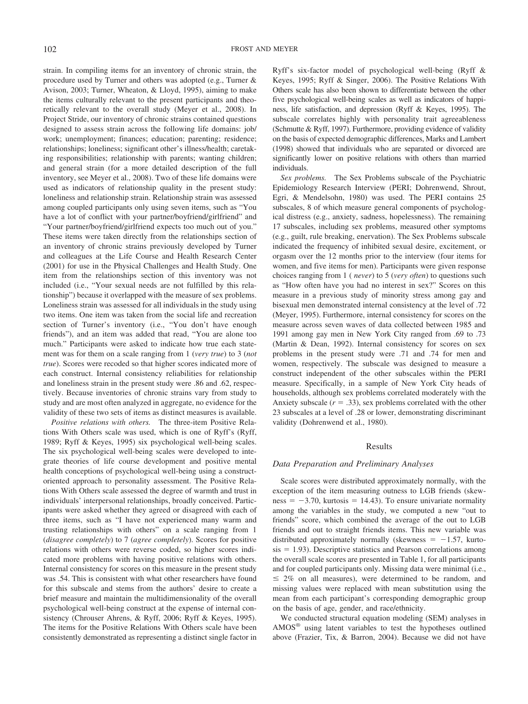strain. In compiling items for an inventory of chronic strain, the procedure used by Turner and others was adopted (e.g., Turner & Avison, 2003; Turner, Wheaton, & Lloyd, 1995), aiming to make the items culturally relevant to the present participants and theoretically relevant to the overall study (Meyer et al., 2008). In Project Stride, our inventory of chronic strains contained questions designed to assess strain across the following life domains: job/ work; unemployment; finances; education; parenting; residence; relationships; loneliness; significant other's illness/health; caretaking responsibilities; relationship with parents; wanting children; and general strain (for a more detailed description of the full inventory, see Meyer et al., 2008). Two of these life domains were used as indicators of relationship quality in the present study: loneliness and relationship strain. Relationship strain was assessed among coupled participants only using seven items, such as "You have a lot of conflict with your partner/boyfriend/girlfriend" and "Your partner/boyfriend/girlfriend expects too much out of you." These items were taken directly from the relationships section of an inventory of chronic strains previously developed by Turner and colleagues at the Life Course and Health Research Center (2001) for use in the Physical Challenges and Health Study. One item from the relationships section of this inventory was not included (i.e., "Your sexual needs are not fulfilled by this relationship") because it overlapped with the measure of sex problems. Loneliness strain was assessed for all individuals in the study using two items. One item was taken from the social life and recreation section of Turner's inventory (i.e., "You don't have enough friends"), and an item was added that read, "You are alone too much." Participants were asked to indicate how true each statement was for them on a scale ranging from 1 (*very true*) to 3 (*not true*). Scores were recoded so that higher scores indicated more of each construct. Internal consistency reliabilities for relationship and loneliness strain in the present study were .86 and .62, respectively. Because inventories of chronic strains vary from study to study and are most often analyzed in aggregate, no evidence for the validity of these two sets of items as distinct measures is available.

*Positive relations with others.* The three-item Positive Relations With Others scale was used, which is one of Ryff's (Ryff, 1989; Ryff & Keyes, 1995) six psychological well-being scales. The six psychological well-being scales were developed to integrate theories of life course development and positive mental health conceptions of psychological well-being using a constructoriented approach to personality assessment. The Positive Relations With Others scale assessed the degree of warmth and trust in individuals' interpersonal relationships, broadly conceived. Participants were asked whether they agreed or disagreed with each of three items, such as "I have not experienced many warm and trusting relationships with others" on a scale ranging from 1 (*disagree completely*) to 7 (*agree completely*). Scores for positive relations with others were reverse coded, so higher scores indicated more problems with having positive relations with others. Internal consistency for scores on this measure in the present study was .54. This is consistent with what other researchers have found for this subscale and stems from the authors' desire to create a brief measure and maintain the multidimensionality of the overall psychological well-being construct at the expense of internal consistency (Chrouser Ahrens, & Ryff, 2006; Ryff & Keyes, 1995). The items for the Positive Relations With Others scale have been consistently demonstrated as representing a distinct single factor in Ryff's six-factor model of psychological well-being (Ryff & Keyes, 1995; Ryff & Singer, 2006). The Positive Relations With Others scale has also been shown to differentiate between the other five psychological well-being scales as well as indicators of happiness, life satisfaction, and depression (Ryff & Keyes, 1995). The subscale correlates highly with personality trait agreeableness (Schmutte & Ryff, 1997). Furthermore, providing evidence of validity on the basis of expected demographic differences, Marks and Lambert (1998) showed that individuals who are separated or divorced are significantly lower on positive relations with others than married individuals.

*Sex problems.* The Sex Problems subscale of the Psychiatric Epidemiology Research Interview (PERI; Dohrenwend, Shrout, Egri, & Mendelsohn, 1980) was used. The PERI contains 25 subscales, 8 of which measure general components of psychological distress (e.g., anxiety, sadness, hopelessness). The remaining 17 subscales, including sex problems, measured other symptoms (e.g., guilt, rule breaking, enervation). The Sex Problems subscale indicated the frequency of inhibited sexual desire, excitement, or orgasm over the 12 months prior to the interview (four items for women, and five items for men). Participants were given response choices ranging from 1 ( *never*) to 5 (*very often*) to questions such as "How often have you had no interest in sex?" Scores on this measure in a previous study of minority stress among gay and bisexual men demonstrated internal consistency at the level of .72 (Meyer, 1995). Furthermore, internal consistency for scores on the measure across seven waves of data collected between 1985 and 1991 among gay men in New York City ranged from .69 to .73 (Martin & Dean, 1992). Internal consistency for scores on sex problems in the present study were .71 and .74 for men and women, respectively. The subscale was designed to measure a construct independent of the other subscales within the PERI measure. Specifically, in a sample of New York City heads of households, although sex problems correlated moderately with the Anxiety subscale  $(r = .33)$ , sex problems correlated with the other 23 subscales at a level of .28 or lower, demonstrating discriminant validity (Dohrenwend et al., 1980).

#### Results

#### *Data Preparation and Preliminary Analyses*

Scale scores were distributed approximately normally, with the exception of the item measuring outness to LGB friends (skewness  $= -3.70$ , kurtosis  $= 14.43$ ). To ensure univariate normality among the variables in the study, we computed a new "out to friends" score, which combined the average of the out to LGB friends and out to straight friends items. This new variable was distributed approximately normally (skewness  $= -1.57$ , kurto $sis = 1.93$ ). Descriptive statistics and Pearson correlations among the overall scale scores are presented in Table 1, for all participants and for coupled participants only. Missing data were minimal (i.e.,  $\leq$  2% on all measures), were determined to be random, and missing values were replaced with mean substitution using the mean from each participant's corresponding demographic group on the basis of age, gender, and race/ethnicity.

We conducted structural equation modeling (SEM) analyses in AMOS® using latent variables to test the hypotheses outlined above (Frazier, Tix, & Barron, 2004). Because we did not have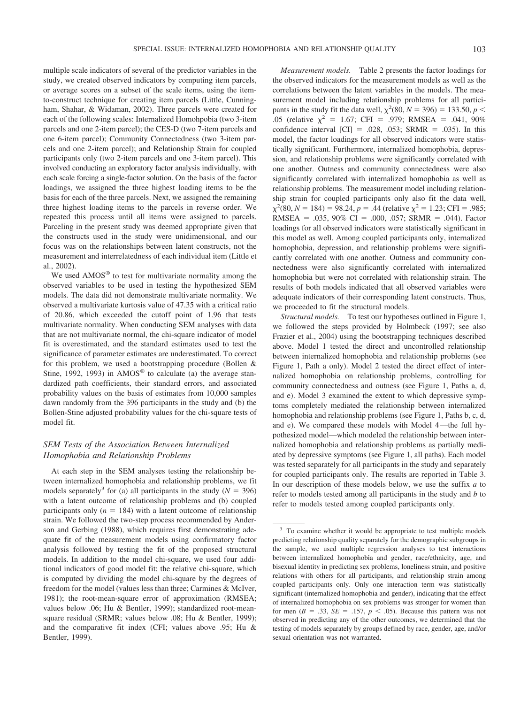multiple scale indicators of several of the predictor variables in the study, we created observed indicators by computing item parcels, or average scores on a subset of the scale items, using the itemto-construct technique for creating item parcels (Little, Cunningham, Shahar, & Widaman, 2002). Three parcels were created for each of the following scales: Internalized Homohpobia (two 3-item parcels and one 2-item parcel); the CES-D (two 7-item parcels and one 6-item parcel); Community Connectedness (two 3-item parcels and one 2-item parcel); and Relationship Strain for coupled participants only (two 2-item parcels and one 3-item parcel). This involved conducting an exploratory factor analysis individually, with each scale forcing a single-factor solution. On the basis of the factor loadings, we assigned the three highest loading items to be the basis for each of the three parcels. Next, we assigned the remaining three highest loading items to the parcels in reverse order. We repeated this process until all items were assigned to parcels. Parceling in the present study was deemed appropriate given that the constructs used in the study were unidimensional, and our focus was on the relationships between latent constructs, not the measurement and interrelatedness of each individual item (Little et al., 2002).

We used  $AMOS^{\circledast}$  to test for multivariate normality among the observed variables to be used in testing the hypothesized SEM models. The data did not demonstrate multivariate normality. We observed a multivariate kurtosis value of 47.35 with a critical ratio of 20.86, which exceeded the cutoff point of 1.96 that tests multivariate normality. When conducting SEM analyses with data that are not multivariate normal, the chi-square indicator of model fit is overestimated, and the standard estimates used to test the significance of parameter estimates are underestimated. To correct for this problem, we used a bootstrapping procedure (Bollen & Stine, 1992, 1993) in  $AMOS^{\circledcirc}$  to calculate (a) the average standardized path coefficients, their standard errors, and associated probability values on the basis of estimates from 10,000 samples dawn randomly from the 396 participants in the study and (b) the Bollen-Stine adjusted probability values for the chi-square tests of model fit.

# *SEM Tests of the Association Between Internalized Homophobia and Relationship Problems*

At each step in the SEM analyses testing the relationship between internalized homophobia and relationship problems, we fit models separately<sup>3</sup> for (a) all participants in the study ( $N = 396$ ) with a latent outcome of relationship problems and (b) coupled participants only  $(n = 184)$  with a latent outcome of relationship strain. We followed the two-step process recommended by Anderson and Gerbing (1988), which requires first demonstrating adequate fit of the measurement models using confirmatory factor analysis followed by testing the fit of the proposed structural models. In addition to the model chi-square, we used four additional indicators of good model fit: the relative chi-square, which is computed by dividing the model chi-square by the degrees of freedom for the model (values less than three; Carmines & McIver, 1981); the root-mean-square error of approximation (RMSEA; values below .06; Hu & Bentler, 1999); standardized root-meansquare residual (SRMR; values below .08; Hu & Bentler, 1999); and the comparative fit index (CFI; values above .95; Hu & Bentler, 1999).

*Measurement models.* Table 2 presents the factor loadings for the observed indicators for the measurement models as well as the correlations between the latent variables in the models. The measurement model including relationship problems for all participants in the study fit the data well,  $\chi^2(80, N = 396) = 133.50, p <$ .05 (relative  $\chi^2 = 1.67$ ; CFI = .979; RMSEA = .041, 90% confidence interval  $\text{[CI]} = .028, .053; \text{ SRMR} = .035$ ). In this model, the factor loadings for all observed indicators were statistically significant. Furthermore, internalized homophobia, depression, and relationship problems were significantly correlated with one another. Outness and community connectedness were also significantly correlated with internalized homophobia as well as relationship problems. The measurement model including relationship strain for coupled participants only also fit the data well,  $\chi^2(80, N = 184) = 98.24, p = .44$  (relative  $\chi^2 = 1.23$ ; CFI = .985; RMSEA = .035, 90% CI = .000, .057; SRMR = .044). Factor loadings for all observed indicators were statistically significant in this model as well. Among coupled participants only, internalized homophobia, depression, and relationship problems were significantly correlated with one another. Outness and community connectedness were also significantly correlated with internalized homophobia but were not correlated with relationship strain. The results of both models indicated that all observed variables were adequate indicators of their corresponding latent constructs. Thus, we proceeded to fit the structural models.

*Structural models.* To test our hypotheses outlined in Figure 1, we followed the steps provided by Holmbeck (1997; see also Frazier et al., 2004) using the bootstrapping techniques described above. Model 1 tested the direct and uncontrolled relationship between internalized homophobia and relationship problems (see Figure 1, Path a only). Model 2 tested the direct effect of internalized homophobia on relationship problems, controlling for community connectedness and outness (see Figure 1, Paths a, d, and e). Model 3 examined the extent to which depressive symptoms completely mediated the relationship between internalized homophobia and relationship problems (see Figure 1, Paths b, c, d, and e). We compared these models with Model 4—the full hypothesized model—which modeled the relationship between internalized homophobia and relationship problems as partially mediated by depressive symptoms (see Figure 1, all paths). Each model was tested separately for all participants in the study and separately for coupled participants only. The results are reported in Table 3. In our description of these models below, we use the suffix *a* to refer to models tested among all participants in the study and *b* to refer to models tested among coupled participants only.

<sup>&</sup>lt;sup>3</sup> To examine whether it would be appropriate to test multiple models predicting relationship quality separately for the demographic subgroups in the sample, we used multiple regression analyses to test interactions between internalized homophobia and gender, race/ethnicity, age, and bisexual identity in predicting sex problems, loneliness strain, and positive relations with others for all participants, and relationship strain among coupled participants only. Only one interaction term was statistically significant (internalized homophobia and gender), indicating that the effect of internalized homophobia on sex problems was stronger for women than for men ( $B = .33$ ,  $SE = .157$ ,  $p < .05$ ). Because this pattern was not observed in predicting any of the other outcomes, we determined that the testing of models separately by groups defined by race, gender, age, and/or sexual orientation was not warranted.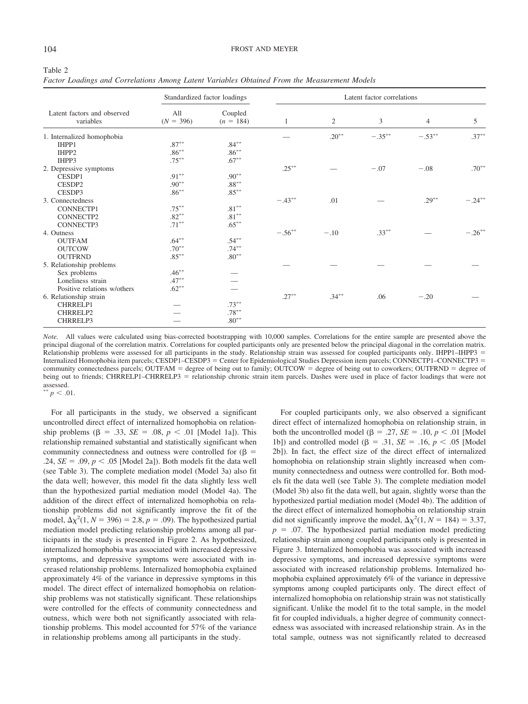#### 104 FROST AND MEYER

*Factor Loadings and Correlations Among Latent Variables Obtained From the Measurement Models*

|                                          |                    | Standardized factor loadings | Latent factor correlations |                |           |                |           |  |  |  |
|------------------------------------------|--------------------|------------------------------|----------------------------|----------------|-----------|----------------|-----------|--|--|--|
| Latent factors and observed<br>variables | All<br>$(N = 396)$ | Coupled<br>$(n = 184)$       | 1                          | $\overline{2}$ | 3         | $\overline{4}$ | 5         |  |  |  |
| 1. Internalized homophobia               |                    |                              |                            | $.20***$       | $-.35***$ | $-.53**$       | $.37***$  |  |  |  |
| IHPP1                                    | $.87***$           | $.84***$                     |                            |                |           |                |           |  |  |  |
| IHPP2                                    | $.86***$           | $.86***$                     |                            |                |           |                |           |  |  |  |
| IHPP3                                    | $.75***$           | $.67***$                     |                            |                |           |                |           |  |  |  |
| 2. Depressive symptoms                   |                    |                              | $.25***$                   |                | $-.07$    | $-.08$         | $.70***$  |  |  |  |
| CESDP1                                   | $.91***$           | $.90**$                      |                            |                |           |                |           |  |  |  |
| CESDP2                                   | $.90***$           | $.88^{\ast\ast}$             |                            |                |           |                |           |  |  |  |
| CESDP3                                   | $.86***$           | $.85***$                     |                            |                |           |                |           |  |  |  |
| 3. Connectedness                         |                    |                              | $-.43***$                  | .01            |           | $.29***$       | $-.24***$ |  |  |  |
| <b>CONNECTP1</b>                         | $.75***$           | $.81^{\ast\ast}$             |                            |                |           |                |           |  |  |  |
| CONNECTP2                                | $.82***$           | $.81^{\ast\ast}$             |                            |                |           |                |           |  |  |  |
| <b>CONNECTP3</b>                         | $.71***$           | $.65***$                     |                            |                |           |                |           |  |  |  |
| 4. Outness                               |                    |                              | $-.56***$                  | $-.10$         | $.33***$  |                | $-.26***$ |  |  |  |
| <b>OUTFAM</b>                            | $.64***$           | $.54***$                     |                            |                |           |                |           |  |  |  |
| <b>OUTCOW</b>                            | $.70***$           | $.74***$                     |                            |                |           |                |           |  |  |  |
| <b>OUTFRND</b>                           | $.85***$           | $.80^{\ast\ast}$             |                            |                |           |                |           |  |  |  |
| 5. Relationship problems                 |                    |                              |                            |                |           |                |           |  |  |  |
| Sex problems                             | $.46***$           |                              |                            |                |           |                |           |  |  |  |
| Loneliness strain                        | $.47***$           |                              |                            |                |           |                |           |  |  |  |
| Positive relations w/others              | $.62**$            |                              |                            |                |           |                |           |  |  |  |
| 6. Relationship strain                   |                    |                              | $.27***$                   | $.34***$       | .06       | $-.20$         |           |  |  |  |
| CHRRELP1                                 |                    | $.73***$                     |                            |                |           |                |           |  |  |  |
| CHRRELP2                                 |                    | $.78^{\ast\ast}$             |                            |                |           |                |           |  |  |  |
| <b>CHRRELP3</b>                          |                    | $.80**$                      |                            |                |           |                |           |  |  |  |

*Note.* All values were calculated using bias-corrected bootstrapping with 10,000 samples. Correlations for the entire sample are presented above the principal diagonal of the correlation matrix. Correlations for coupled participants only are presented below the principal diagonal in the correlation matrix. Relationship problems were assessed for all participants in the study. Relationship strain was assessed for coupled participants only. IHPP1–IHPP3 = Internalized Homophobia item parcels; CESDP1–CESDP3 = Center for Epidemiological Studies Depression item parcels; CONNECTP1–CONNECTP3 = community connectedness parcels; OUTFAM = degree of being out to family; OUTCOW = degree of being out to coworkers; OUTFRND = degree of being out to friends; CHRRELP1-CHRRELP3 = relationship chronic strain item parcels. Dashes were used in place of factor loadings that were not assessed.  $^{*}p < .01$ .

For all participants in the study, we observed a significant uncontrolled direct effect of internalized homophobia on relationship problems ( $\beta = .33$ ,  $SE = .08$ ,  $p < .01$  [Model 1a]). This relationship remained substantial and statistically significant when community connectedness and outness were controlled for  $(\beta =$ .24,  $SE = .09$ ,  $p < .05$  [Model 2a]). Both models fit the data well (see Table 3). The complete mediation model (Model 3a) also fit the data well; however, this model fit the data slightly less well than the hypothesized partial mediation model (Model 4a). The addition of the direct effect of internalized homophobia on relationship problems did not significantly improve the fit of the model,  $\Delta \chi^2(1, N = 396) = 2.8$ ,  $p = .09$ ). The hypothesized partial mediation model predicting relationship problems among all participants in the study is presented in Figure 2. As hypothesized, internalized homophobia was associated with increased depressive symptoms, and depressive symptoms were associated with increased relationship problems. Internalized homophobia explained approximately 4% of the variance in depressive symptoms in this model. The direct effect of internalized homophobia on relationship problems was not statistically significant. These relationships were controlled for the effects of community connectedness and outness, which were both not significantly associated with relationship problems. This model accounted for 57% of the variance in relationship problems among all participants in the study.

For coupled participants only, we also observed a significant direct effect of internalized homophobia on relationship strain, in both the uncontrolled model ( $\beta$  = .27, *SE* = .10, *p* < .01 [Model 1b]) and controlled model ( $\beta$  = .31, *SE* = .16,  $p < .05$  [Model 2b]). In fact, the effect size of the direct effect of internalized homophobia on relationship strain slightly increased when community connectedness and outness were controlled for. Both models fit the data well (see Table 3). The complete mediation model (Model 3b) also fit the data well, but again, slightly worse than the hypothesized partial mediation model (Model 4b). The addition of the direct effect of internalized homophobia on relationship strain did not significantly improve the model,  $\Delta \chi^2(1, N = 184) = 3.37$ ,  $p = .07$ . The hypothesized partial mediation model predicting relationship strain among coupled participants only is presented in Figure 3. Internalized homophobia was associated with increased depressive symptoms, and increased depressive symptoms were associated with increased relationship problems. Internalized homophobia explained approximately 6% of the variance in depressive symptoms among coupled participants only. The direct effect of internalized homophobia on relationship strain was not statistically significant. Unlike the model fit to the total sample, in the model fit for coupled individuals, a higher degree of community connectedness was associated with increased relationship strain. As in the total sample, outness was not significantly related to decreased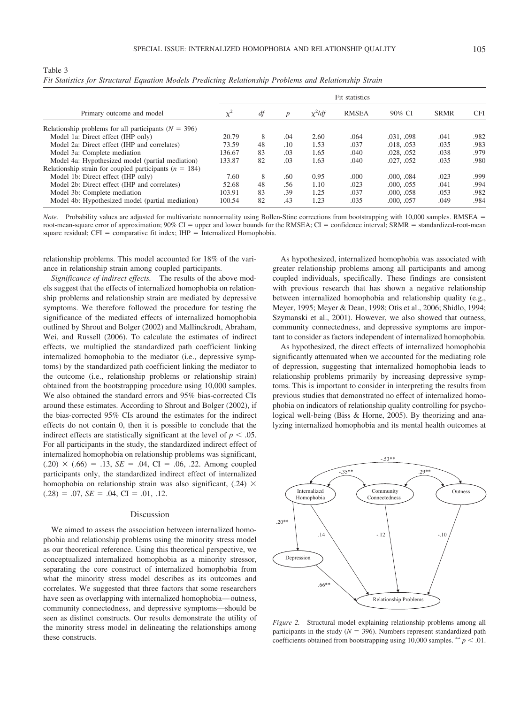| Table 3                                                                                                |  |  |  |  |
|--------------------------------------------------------------------------------------------------------|--|--|--|--|
| Fit Statistics for Structural Equation Models Predicting Relationship Problems and Relationship Strain |  |  |  |  |

| Primary outcome and model                                  |        | df | $\boldsymbol{p}$ | $\chi^2$ /df | <b>RMSEA</b> | 90% CI         | <b>SRMR</b> | <b>CFI</b> |
|------------------------------------------------------------|--------|----|------------------|--------------|--------------|----------------|-------------|------------|
| Relationship problems for all participants ( $N = 396$ )   |        |    |                  |              |              |                |             |            |
| Model 1a: Direct effect (IHP only)                         | 20.79  | 8  | .04              | 2.60         | .064         | .031098        | .041        | .982       |
| Model 2a: Direct effect (IHP and correlates)               | 73.59  | 48 | .10              | 1.53         | .037         | .018. .053     | .035        | .983       |
| Model 3a: Complete mediation                               | 136.67 | 83 | .03              | 1.65         | .040         | .028. .052     | .038        | .979       |
| Model 4a: Hypothesized model (partial mediation)           | 133.87 | 82 | .03              | 1.63         | .040         | .027, .052     | .035        | .980       |
| Relationship strain for coupled participants ( $n = 184$ ) |        |    |                  |              |              |                |             |            |
| Model 1b: Direct effect (IHP only)                         | 7.60   | 8  | .60              | 0.95         | .000         | .000. .084     | .023        | .999       |
| Model 2b: Direct effect (IHP and correlates)               | 52.68  | 48 | .56              | 1.10         | .023         | .000. .055     | .041        | .994       |
| Model 3b: Complete mediation                               | 103.91 | 83 | .39              | 1.25         | .037         | .000. .058     | .053        | .982       |
| Model 4b: Hypothesized model (partial mediation)           | 100.54 | 82 | .43              | 1.23         | .035         | $.000.$ $.057$ | .049        | .984       |

*Note.* Probability values are adjusted for multivariate nonnormality using Bollen-Stine corrections from bootstrapping with 10,000 samples. RMSEA = root-mean-square error of approximation; 90% CI = upper and lower bounds for the RMSEA; CI = confidence interval; SRMR = standardized-root-mean square residual; CFI = comparative fit index; IHP = Internalized Homophobia.

relationship problems. This model accounted for 18% of the variance in relationship strain among coupled participants.

*Significance of indirect effects.* The results of the above models suggest that the effects of internalized homophobia on relationship problems and relationship strain are mediated by depressive symptoms. We therefore followed the procedure for testing the significance of the mediated effects of internalized homophobia outlined by Shrout and Bolger (2002) and Mallinckrodt, Abraham, Wei, and Russell (2006). To calculate the estimates of indirect effects, we multiplied the standardized path coefficient linking internalized homophobia to the mediator (i.e., depressive symptoms) by the standardized path coefficient linking the mediator to the outcome (i.e., relationship problems or relationship strain) obtained from the bootstrapping procedure using 10,000 samples. We also obtained the standard errors and 95% bias-corrected CIs around these estimates. According to Shrout and Bolger (2002), if the bias-corrected 95% CIs around the estimates for the indirect effects do not contain 0, then it is possible to conclude that the indirect effects are statistically significant at the level of  $p < .05$ . For all participants in the study, the standardized indirect effect of internalized homophobia on relationship problems was significant,  $(.20) \times (.66) = .13$ , *SE* = .04, CI = .06, .22. Among coupled participants only, the standardized indirect effect of internalized homophobia on relationship strain was also significant,  $(.24)$  ×  $(.28) = .07$ ,  $SE = .04$ ,  $CI = .01$ , .12.

## Discussion

We aimed to assess the association between internalized homophobia and relationship problems using the minority stress model as our theoretical reference. Using this theoretical perspective, we conceptualized internalized homophobia as a minority stressor, separating the core construct of internalized homophobia from what the minority stress model describes as its outcomes and correlates. We suggested that three factors that some researchers have seen as overlapping with internalized homophobia— outness, community connectedness, and depressive symptoms—should be seen as distinct constructs. Our results demonstrate the utility of the minority stress model in delineating the relationships among these constructs.

As hypothesized, internalized homophobia was associated with greater relationship problems among all participants and among coupled individuals, specifically. These findings are consistent with previous research that has shown a negative relationship between internalized homophobia and relationship quality (e.g., Meyer, 1995; Meyer & Dean, 1998; Otis et al., 2006; Shidlo, 1994; Szymanski et al., 2001). However, we also showed that outness, community connectedness, and depressive symptoms are important to consider as factors independent of internalized homophobia.

As hypothesized, the direct effects of internalized homophobia significantly attenuated when we accounted for the mediating role of depression, suggesting that internalized homophobia leads to relationship problems primarily by increasing depressive symptoms. This is important to consider in interpreting the results from previous studies that demonstrated no effect of internalized homophobia on indicators of relationship quality controlling for psychological well-being (Biss & Horne, 2005). By theorizing and analyzing internalized homophobia and its mental health outcomes at



*Figure 2.* Structural model explaining relationship problems among all participants in the study ( $N = 396$ ). Numbers represent standardized path coefficients obtained from bootstrapping using 10,000 samples.  $\dot{p}$   $< .01$ .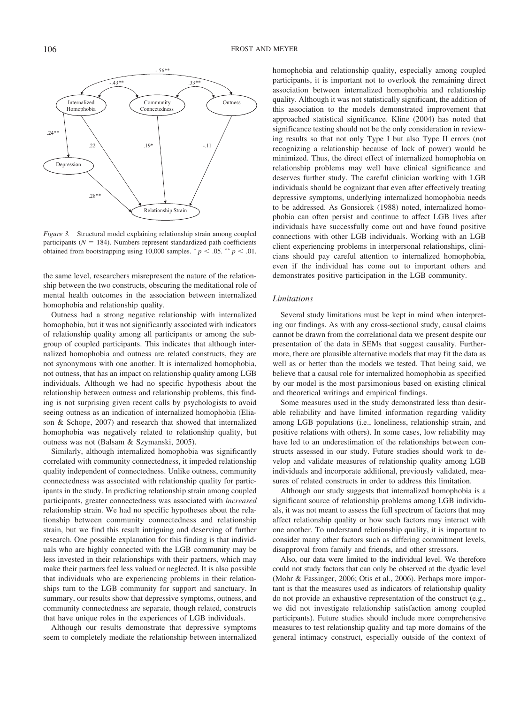

*Figure 3.* Structural model explaining relationship strain among coupled participants  $(N = 184)$ . Numbers represent standardized path coefficients obtained from bootstrapping using 10,000 samples.  $p < .05$ .  $p < .01$ .

the same level, researchers misrepresent the nature of the relationship between the two constructs, obscuring the meditational role of mental health outcomes in the association between internalized homophobia and relationship quality.

Outness had a strong negative relationship with internalized homophobia, but it was not significantly associated with indicators of relationship quality among all participants or among the subgroup of coupled participants. This indicates that although internalized homophobia and outness are related constructs, they are not synonymous with one another. It is internalized homophobia, not outness, that has an impact on relationship quality among LGB individuals. Although we had no specific hypothesis about the relationship between outness and relationship problems, this finding is not surprising given recent calls by psychologists to avoid seeing outness as an indication of internalized homophobia (Eliason & Schope, 2007) and research that showed that internalized homophobia was negatively related to relationship quality, but outness was not (Balsam & Szymanski, 2005).

Similarly, although internalized homophobia was significantly correlated with community connectedness, it impeded relationship quality independent of connectedness. Unlike outness, community connectedness was associated with relationship quality for participants in the study. In predicting relationship strain among coupled participants, greater connectedness was associated with *increased* relationship strain. We had no specific hypotheses about the relationship between community connectedness and relationship strain, but we find this result intriguing and deserving of further research. One possible explanation for this finding is that individuals who are highly connected with the LGB community may be less invested in their relationships with their partners, which may make their partners feel less valued or neglected. It is also possible that individuals who are experiencing problems in their relationships turn to the LGB community for support and sanctuary. In summary, our results show that depressive symptoms, outness, and community connectedness are separate, though related, constructs that have unique roles in the experiences of LGB individuals.

Although our results demonstrate that depressive symptoms seem to completely mediate the relationship between internalized homophobia and relationship quality, especially among coupled participants, it is important not to overlook the remaining direct association between internalized homophobia and relationship quality. Although it was not statistically significant, the addition of this association to the models demonstrated improvement that approached statistical significance. Kline (2004) has noted that significance testing should not be the only consideration in reviewing results so that not only Type I but also Type II errors (not recognizing a relationship because of lack of power) would be minimized. Thus, the direct effect of internalized homophobia on relationship problems may well have clinical significance and deserves further study. The careful clinician working with LGB individuals should be cognizant that even after effectively treating depressive symptoms, underlying internalized homophobia needs to be addressed. As Gonsiorek (1988) noted, internalized homophobia can often persist and continue to affect LGB lives after individuals have successfully come out and have found positive connections with other LGB individuals. Working with an LGB client experiencing problems in interpersonal relationships, clinicians should pay careful attention to internalized homophobia, even if the individual has come out to important others and demonstrates positive participation in the LGB community.

## *Limitations*

Several study limitations must be kept in mind when interpreting our findings. As with any cross-sectional study, causal claims cannot be drawn from the correlational data we present despite our presentation of the data in SEMs that suggest causality. Furthermore, there are plausible alternative models that may fit the data as well as or better than the models we tested. That being said, we believe that a causal role for internalized homophobia as specified by our model is the most parsimonious based on existing clinical and theoretical writings and empirical findings.

Some measures used in the study demonstrated less than desirable reliability and have limited information regarding validity among LGB populations (i.e., loneliness, relationship strain, and positive relations with others). In some cases, low reliability may have led to an underestimation of the relationships between constructs assessed in our study. Future studies should work to develop and validate measures of relationship quality among LGB individuals and incorporate additional, previously validated, measures of related constructs in order to address this limitation.

Although our study suggests that internalized homophobia is a significant source of relationship problems among LGB individuals, it was not meant to assess the full spectrum of factors that may affect relationship quality or how such factors may interact with one another. To understand relationship quality, it is important to consider many other factors such as differing commitment levels, disapproval from family and friends, and other stressors.

Also, our data were limited to the individual level. We therefore could not study factors that can only be observed at the dyadic level (Mohr & Fassinger, 2006; Otis et al., 2006). Perhaps more important is that the measures used as indicators of relationship quality do not provide an exhaustive representation of the construct (e.g., we did not investigate relationship satisfaction among coupled participants). Future studies should include more comprehensive measures to test relationship quality and tap more domains of the general intimacy construct, especially outside of the context of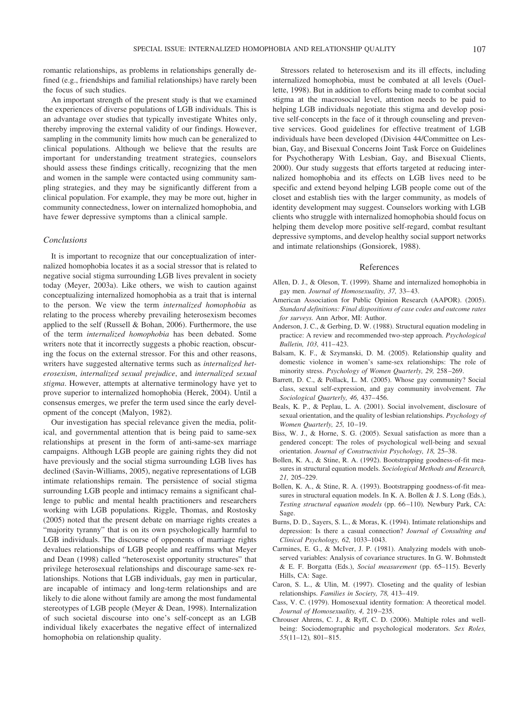romantic relationships, as problems in relationships generally defined (e.g., friendships and familial relationships) have rarely been the focus of such studies.

An important strength of the present study is that we examined the experiences of diverse populations of LGB individuals. This is an advantage over studies that typically investigate Whites only, thereby improving the external validity of our findings. However, sampling in the community limits how much can be generalized to clinical populations. Although we believe that the results are important for understanding treatment strategies, counselors should assess these findings critically, recognizing that the men and women in the sample were contacted using community sampling strategies, and they may be significantly different from a clinical population. For example, they may be more out, higher in community connectedness, lower on internalized homophobia, and have fewer depressive symptoms than a clinical sample.

## *Conclusions*

It is important to recognize that our conceptualization of internalized homophobia locates it as a social stressor that is related to negative social stigma surrounding LGB lives prevalent in society today (Meyer, 2003a). Like others, we wish to caution against conceptualizing internalized homophobia as a trait that is internal to the person. We view the term *internalized homophobia* as relating to the process whereby prevailing heterosexism becomes applied to the self (Russell & Bohan, 2006). Furthermore, the use of the term *internalized homophobia* has been debated. Some writers note that it incorrectly suggests a phobic reaction, obscuring the focus on the external stressor. For this and other reasons, writers have suggested alternative terms such as *internalized heterosexism*, *internalized sexual prejudice*, and *internalized sexual stigma*. However, attempts at alternative terminology have yet to prove superior to internalized homophobia (Herek, 2004). Until a consensus emerges, we prefer the term used since the early development of the concept (Malyon, 1982).

Our investigation has special relevance given the media, political, and governmental attention that is being paid to same-sex relationships at present in the form of anti-same-sex marriage campaigns. Although LGB people are gaining rights they did not have previously and the social stigma surrounding LGB lives has declined (Savin-Williams, 2005), negative representations of LGB intimate relationships remain. The persistence of social stigma surrounding LGB people and intimacy remains a significant challenge to public and mental health practitioners and researchers working with LGB populations. Riggle, Thomas, and Rostosky (2005) noted that the present debate on marriage rights creates a "majority tyranny" that is on its own psychologically harmful to LGB individuals. The discourse of opponents of marriage rights devalues relationships of LGB people and reaffirms what Meyer and Dean (1998) called "heterosexist opportunity structures" that privilege heterosexual relationships and discourage same-sex relationships. Notions that LGB individuals, gay men in particular, are incapable of intimacy and long-term relationships and are likely to die alone without family are among the most fundamental stereotypes of LGB people (Meyer & Dean, 1998). Internalization of such societal discourse into one's self-concept as an LGB individual likely exacerbates the negative effect of internalized homophobia on relationship quality.

Stressors related to heterosexism and its ill effects, including internalized homophobia, must be combated at all levels (Ouellette, 1998). But in addition to efforts being made to combat social stigma at the macrosocial level, attention needs to be paid to helping LGB individuals negotiate this stigma and develop positive self-concepts in the face of it through counseling and preventive services. Good guidelines for effective treatment of LGB individuals have been developed (Division 44/Committee on Lesbian, Gay, and Bisexual Concerns Joint Task Force on Guidelines for Psychotherapy With Lesbian, Gay, and Bisexual Clients, 2000). Our study suggests that efforts targeted at reducing internalized homophobia and its effects on LGB lives need to be specific and extend beyond helping LGB people come out of the closet and establish ties with the larger community, as models of identity development may suggest. Counselors working with LGB clients who struggle with internalized homophobia should focus on helping them develop more positive self-regard, combat resultant depressive symptoms, and develop healthy social support networks and intimate relationships (Gonsiorek, 1988).

#### References

- Allen, D. J., & Oleson, T. (1999). Shame and internalized homophobia in gay men. *Journal of Homosexuality, 37,* 33– 43.
- American Association for Public Opinion Research (AAPOR). (2005). *Standard definitions: Final dispositions of case codes and outcome rates for surveys.* Ann Arbor, MI: Author.
- Anderson, J. C., & Gerbing, D. W. (1988). Structural equation modeling in practice: A review and recommended two-step approach. *Psychological Bulletin, 103,* 411– 423.
- Balsam, K. F., & Szymanski, D. M. (2005). Relationship quality and domestic violence in women's same-sex relationships: The role of minority stress. *Psychology of Women Quarterly, 29,* 258 –269.
- Barrett, D. C., & Pollack, L. M. (2005). Whose gay community? Social class, sexual self-expression, and gay community involvement. *The Sociological Quarterly, 46,* 437– 456.
- Beals, K. P., & Peplau, L. A. (2001). Social involvement, disclosure of sexual orientation, and the quality of lesbian relationships. *Psychology of Women Quarterly, 25, 10-19.*
- Biss, W. J., & Horne, S. G. (2005). Sexual satisfaction as more than a gendered concept: The roles of psychological well-being and sexual orientation. *Journal of Constructivist Psychology, 18,* 25–38.
- Bollen, K. A., & Stine, R. A. (1992). Bootstrapping goodness-of-fit measures in structural equation models. *Sociological Methods and Research, 21,* 205–229.
- Bollen, K. A., & Stine, R. A. (1993). Bootstrapping goodness-of-fit measures in structural equation models. In K. A. Bollen & J. S. Long (Eds.), *Testing structural equation models* (pp. 66 –110)*.* Newbury Park, CA: Sage.
- Burns, D. D., Sayers, S. L., & Moras, K. (1994). Intimate relationships and depression: Is there a casual connection? *Journal of Consulting and Clinical Psychology, 62,* 1033–1043.
- Carmines, E. G., & McIver, J. P. (1981). Analyzing models with unobserved variables: Analysis of covariance structures. In G. W. Bohmstedt & E. F. Borgatta (Eds.), *Social measurement* (pp. 65–115). Beverly Hills, CA: Sage.
- Caron, S. L., & Ulin, M. (1997). Closeting and the quality of lesbian relationships. *Families in Society, 78,* 413– 419.
- Cass, V. C. (1979). Homosexual identity formation: A theoretical model. *Journal of Homosexuality, 4,* 219 –235.
- Chrouser Ahrens, C. J., & Ryff, C. D. (2006). Multiple roles and wellbeing: Sociodemographic and psychological moderators. *Sex Roles, 55*(11–12)*,* 801– 815.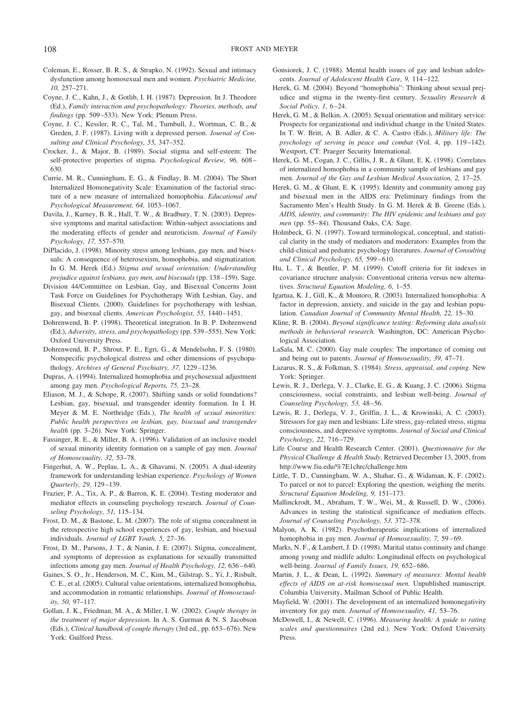Coleman, E., Rosser, B. R. S., & Strapko, N. (1992). Sexual and intimacy dysfunction among homosexual men and women. *Psychiatric Medicine, 10,* 257–271.

- Coyne, J. C., Kahn, J., & Gotlib, I. H. (1987). Depression. In J. Theodore (Ed.), *Family interaction and psychopathology: Theories, methods, and findings* (pp. 509 –533). New York: Plenum Press.
- Coyne, J. C., Kessler, R. C., Tal, M., Turnbull, J., Wortman, C. B., & Greden, J. F. (1987). Living with a depressed person. *Journal of Consulting and Clinical Psychology, 55,* 347–352.
- Crocker, J., & Major, B. (1989). Social stigma and self-esteem: The self-protective properties of stigma. *Psychological Review, 96,* 608 – 630.
- Currie, M. R., Cunningham, E. G., & Findlay, B. M. (2004). The Short Internalized Homonegativity Scale: Examination of the factorial structure of a new measure of internalized homophobia. *Educational and Psychological Measurement, 64,* 1053–1067.
- Davila, J., Karney, B. R., Hall, T. W., & Bradbury, T. N. (2003). Depressive symptoms and marital satisfaction: Within-subject associations and the moderating effects of gender and neuroticism. *Journal of Family Psychology, 17,* 557–570.
- DiPlacido, J. (1998). Minority stress among lesbians, gay men, and bisexuals: A consequence of heterosexism, homophobia, and stigmatization. In G. M. Herek (Ed.) *Stigma and sexual orientation: Understanding prejudice against lesbians, gay men, and bisexuals* (pp. 138 –159). Sage.
- Division 44/Committee on Lesbian, Gay, and Bisexual Concerns Joint Task Force on Guidelines for Psychotherapy With Lesbian, Gay, and Bisexual Clients. (2000). Guidelines for psychotherapy with lesbian, gay, and bisexual clients. *American Psychologist, 55,* 1440 –1451.
- Dohrenwend, B. P. (1998). Theoretical integration. In B. P. Dohrenwend (Ed.), *Adversity, stress, and psychopathology* (pp. 539 –555). New York: Oxford University Press.
- Dohrenwend, B. P., Shrout, P. E., Egri, G., & Mendelsohn, F. S. (1980). Nonspecific psychological distress and other dimensions of psychopathology. *Archives of General Psychiatry, 37,* 1229 –1236.
- Dupras, A. (1994). Internalized homophobia and psychosexual adjustment among gay men. *Psychological Reports, 75,* 23–28.
- Eliason, M. J., & Schope, R. (2007). Shifting sands or solid foundations? Lesbian, gay, bisexual, and transgender identity formation. In I. H. Meyer & M. E. Northridge (Eds.), *The health of sexual minorities: Public health perspectives on lesbian, gay, bisexual and transgender health* (pp. 3–26). New York: Springer.
- Fassinger, R. E., & Miller, B. A. (1996). Validation of an inclusive model of sexual minority identity formation on a sample of gay men. *Journal of Homosexuality, 32,* 53–78.
- Fingerhut, A. W., Peplau, L. A., & Ghavami, N. (2005). A dual-identity framework for understanding lesbian experience. *Psychology of Women Quarterly, 29,* 129 –139.
- Frazier, P. A., Tix, A. P., & Barron, K. E. (2004). Testing moderator and mediator effects in counseling psychology research. *Journal of Counseling Psychology, 51,* 115–134.
- Frost, D. M., & Bastone, L. M. (2007). The role of stigma concealment in the retrospective high school experiences of gay, lesbian, and bisexual individuals. *Journal of LGBT Youth, 5,* 27–36.
- Frost, D. M., Parsons, J. T., & Nanin, J. E. (2007). Stigma, concealment, and symptoms of depression as explanations for sexually transmitted infections among gay men. *Journal of Health Psychology, 12,* 636 – 640.
- Gaines, S. O., Jr., Henderson, M. C., Kim, M., Gilstrap, S., Yi, J., Risbult, C. E., et al. (2005). Cultural value orientations, internalized homophobia, and accommodation in romantic relationships. *Journal of Homosexuality, 50,* 97–117.
- Gollan, J. K., Friedman, M. A., & Miller, I. W. (2002). *Couple therapy in the treatment of major depression.* In A. S. Gurman & N. S. Jacobson (Eds.), *Clinical handbook of couple therapy* (3rd ed., pp. 653-676). New York: Guilford Press.
- Gonsiorek, J. C. (1988). Mental health issues of gay and lesbian adolescents. *Journal of Adolescent Health Care, 9,* 114 –122.
- Herek, G. M. (2004). Beyond "homophobia": Thinking about sexual prejudice and stigma in the twenty-first century. *Sexuality Research & Social Policy, 1,* 6 –24.
- Herek, G. M., & Belkin, A. (2005). Sexual orientation and military service: Prospects for organizational and individual change in the United States. In T. W. Britt, A. B. Adler, & C. A. Castro (Eds.), *Military life: The psychology of serving in peace and combat* (Vol. 4, pp. 119 –142). Westport, CT: Praeger Security International.
- Herek, G. M., Cogan, J. C., Gillis, J. R., & Glunt, E. K. (1998). Correlates of internalized homophobia in a community sample of lesbians and gay men. *Journal of the Gay and Lesbian Medical Association, 2,* 17–25.
- Herek, G. M., & Glunt, E. K. (1995). Identity and community among gay and bisexual men in the AIDS era: Preliminary findings from the Sacramento Men's Health Study. In G. M. Herek & B. Greene (Eds.), *AIDS, identity, and community: The HIV epidemic and lesbians and gay men* (pp. 55– 84). Thousand Oaks, CA: Sage.
- Holmbeck, G. N. (1997). Toward terminological, conceptual, and statistical clarity in the study of mediators and moderators: Examples from the child-clinical and pediatric psychology literatures. *Journal of Consulting and Clinical Psychology, 65,* 599 – 610.
- Hu, L. T., & Bentler, P. M. (1999). Cutoff criteria for fit indexes in covariance structure analysis: Conventional criteria versus new alternatives. *Structural Equation Modeling, 6,* 1–55.
- Igartua, K. J., Gill, K., & Montoro, R. (2003). Internalized homophobia: A factor in depression, anxiety, and suicide in the gay and lesbian population. *Canadian Journal of Community Mental Health, 22,* 15–30.
- Kline, R. B. (2004). *Beyond significance testing: Reforming data analysis methods in behavioral research.* Washington, DC: American Psychological Association.
- LaSala, M. C. (2000). Gay male couples: The importance of coming out and being out to parents. *Journal of Homosexuality, 39,* 47–71.
- Lazarus, R. S., & Folkman, S. (1984). *Stress, appraisal, and coping.* New York: Springer.
- Lewis, R. J., Derlega, V. J., Clarke, E. G., & Kuang, J. C. (2006). Stigma consciousness, social constraints, and lesbian well-being. *Journal of Counseling Psychology, 53,* 48 –56.
- Lewis, R. J., Derlega, V. J., Griffin, J. L., & Krowinski, A. C. (2003). Stressors for gay men and lesbians: Life stress, gay-related stress, stigma consciousness, and depressive symptoms. *Journal of Social and Clinical Psychology, 22,* 716 –729.
- Life Course and Health Research Center. (2001). *Questionnaire for the Physical Challenge & Health Study*. Retrieved December 13, 2005, from http://www.fiu.edu/%7E1chrc/challenge.htm
- Little, T. D., Cunningham, W. A., Shahar, G., & Widaman, K. F. (2002). To parcel or not to parcel: Exploring the question, weighing the merits. *Structural Equation Modeling, 9,* 151–173.
- Mallinckrodt, M., Abraham, T. W., Wei, M., & Russell, D. W., (2006). Advances in testing the statistical significance of mediation effects. *Journal of Counseling Psychology, 53,* 372–378.
- Malyon, A. K. (1982). Psychotherapeutic implications of internalized homophobia in gay men. *Journal of Homosexuality, 7,* 59 – 69.
- Marks, N. F., & Lambert, J. D. (1998). Marital status continuity and change among young and midlife adults: Longitudinal effects on psychological well-being. *Journal of Family Issues, 19,* 652– 686.
- Martin, J. L., & Dean, L. (1992). *Summary of measures: Mental health effects of AIDS on at-risk homosexual men.* Unpublished manuscript. Columbia University, Mailman School of Public Health.
- Mayfield, W. (2001). The development of an internalized homonegativity inventory for gay men. *Journal of Homosexuality, 41,* 53–76.
- McDowell, I., & Newell, C. (1996). *Measuring health: A guide to rating scales and questionnaires* (2nd ed.). New York: Oxford University Press.